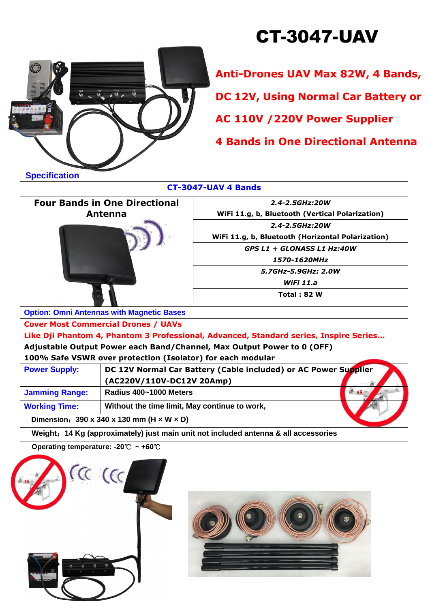## CT-3047-UAV



**Anti-Drones UAV Max 82W, 4 Bands,**

**DC 12V, Using Normal Car Battery or** 

**AC 110V /220V Power Supplier**

**4 Bands in One Directional Antenna**

| ,,,,,,,,,,,,,,,,                                                                      | <b>CT-3047-UAV 4 Bands</b>                                      |  |  |  |  |
|---------------------------------------------------------------------------------------|-----------------------------------------------------------------|--|--|--|--|
| <b>Four Bands in One Directional</b>                                                  | 2.4-2.5GHz:20W                                                  |  |  |  |  |
| Antenna                                                                               | WiFi 11.g, b, Bluetooth (Vertical Polarization)                 |  |  |  |  |
|                                                                                       | 2.4-2.5GHz:20W                                                  |  |  |  |  |
|                                                                                       | WiFi 11.g, b, Bluetooth (Horizontal Polarization)               |  |  |  |  |
|                                                                                       | GPS L1 + GLONASS L1 Hz:40W                                      |  |  |  |  |
|                                                                                       | 1570-1620MHz                                                    |  |  |  |  |
|                                                                                       | 5.7GHz-5.9GHz: 2.0W                                             |  |  |  |  |
|                                                                                       | WiFi $11.a$                                                     |  |  |  |  |
|                                                                                       | <b>Total: 82 W</b>                                              |  |  |  |  |
| <b>Option: Omni Antennas with Magnetic Bases</b>                                      |                                                                 |  |  |  |  |
| <b>Cover Most Commercial Drones / UAVs</b>                                            |                                                                 |  |  |  |  |
| Like Dji Phantom 4, Phantom 3 Professional, Advanced, Standard series, Inspire Series |                                                                 |  |  |  |  |
| Adjustable Output Power each Band/Channel, Max Output Power to 0 (OFF)                |                                                                 |  |  |  |  |
| 100% Safe VSWR over protection (Isolator) for each modular                            |                                                                 |  |  |  |  |
| <b>Power Supply:</b>                                                                  | DC 12V Normal Car Battery (Cable included) or AC Power Supplier |  |  |  |  |
| (AC220V/110V-DC12V 20Amp)                                                             |                                                                 |  |  |  |  |
| <b>Jamming Range:</b>                                                                 | Radius 400~1000 Meters                                          |  |  |  |  |
| <b>Working Time:</b>                                                                  | Without the time limit, May continue to work,                   |  |  |  |  |
| Dimension: $390 \times 340 \times 130$ mm (H $\times$ W $\times$ D)                   |                                                                 |  |  |  |  |
| Weight: 14 Kg (approximately) just main unit not included antenna & all accessories   |                                                                 |  |  |  |  |
| Operating temperature: -20°C ~ +60°C                                                  |                                                                 |  |  |  |  |
| $\alpha$ (cc                                                                          |                                                                 |  |  |  |  |